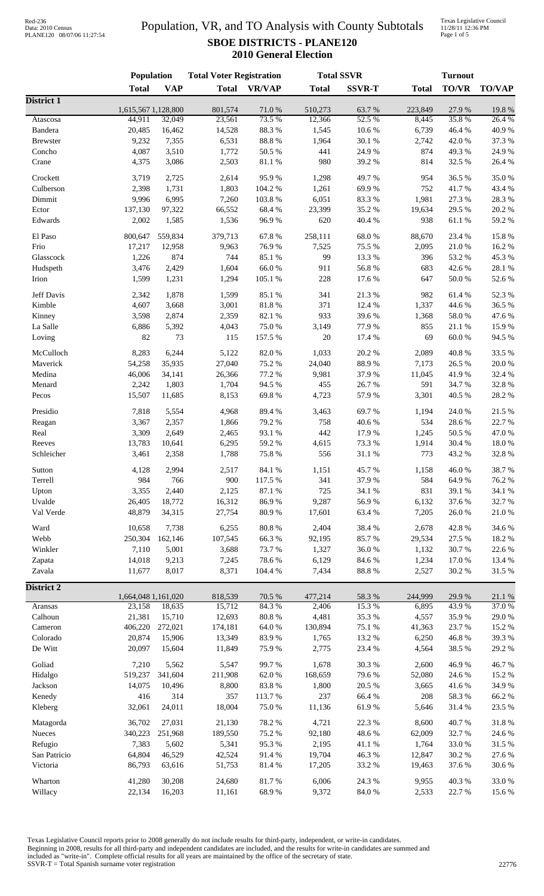# Population, VR, and TO Analysis with County Subtotals **SBOE DISTRICTS - PLANE120 2010 General Election**

Texas Legislative Council 11/28/11 12:36 PM Page 1 of 5

|                   | Population                    |               | <b>Total Voter Registration</b> |                  |                   | <b>Total SSVR</b> | <b>Turnout</b>   |                  |                  |
|-------------------|-------------------------------|---------------|---------------------------------|------------------|-------------------|-------------------|------------------|------------------|------------------|
|                   | <b>Total</b>                  | <b>VAP</b>    | <b>Total</b>                    | <b>VR/VAP</b>    | <b>Total</b>      | <b>SSVR-T</b>     | <b>Total</b>     | <b>TO/VR</b>     | <b>TO/VAP</b>    |
| District 1        |                               |               |                                 |                  |                   |                   |                  |                  |                  |
| Atascosa          | 1,615,567 1,128,800<br>44,911 | 32,049        | 801,574<br>23,561               | 71.0%<br>73.5 %  | 510,273<br>12,366 | 63.7%<br>52.5 %   | 223,849<br>8,445 | 27.9%<br>35.8%   | 19.8%<br>26.4 %  |
| Bandera           | 20,485                        | 16,462        | 14,528                          | 88.3 %           | 1,545             | 10.6 %            | 6,739            | 46.4%            | 40.9%            |
| <b>Brewster</b>   | 9,232                         | 7,355         | 6,531                           | $88.8\ \%$       | 1,964             | 30.1 %            | 2,742            | 42.0%            | 37.3 %           |
| Concho            | 4,087                         | 3,510         | 1,772                           | 50.5 %           | 441               | 24.9%             | 874              | 49.3%            | 24.9%            |
| Crane             | 4,375                         | 3,086         | 2,503                           | $81.1\text{ }\%$ | 980               | 39.2 %            | 814              | 32.5 %           | 26.4%            |
|                   |                               |               |                                 |                  |                   |                   |                  |                  |                  |
| Crockett          | 3,719                         | 2,725         | 2,614                           | 95.9%            | 1,298             | 49.7%             | 954              | 36.5%            | 35.0%            |
| Culberson         | 2,398                         | 1,731         | 1,803                           | 104.2 %          | 1,261             | 69.9%             | 752              | 41.7%            | 43.4 %           |
| Dimmit            | 9,996                         | 6,995         | 7,260                           | 103.8%           | 6,051             | 83.3%             | 1,981            | 27.3 %           | 28.3%            |
| Ector             | 137,130                       | 97,322        | 66,552                          | 68.4%            | 23,399            | 35.2 %            | 19,634           | 29.5 %           | 20.2 %           |
| Edwards           | 2,002                         | 1,585         | 1,536                           | 96.9%            | 620               | 40.4 %            | 938              | $61.1\text{ }\%$ | 59.2 %           |
| El Paso           | 800,647                       | 559,834       | 379,713                         | 67.8%            | 258,111           | 68.0%             | 88,670           | 23.4 %           | 15.8 %           |
| Frio              | 17,217                        | 12,958        | 9,963                           | 76.9%            | 7,525             | 75.5 %            | 2,095            | 21.0%            | 16.2%            |
| Glasscock         | 1,226                         | 874           | 744                             | 85.1%            | 99                | 13.3 %            | 396              | 53.2 %           | 45.3 %           |
| Hudspeth          | 3,476                         | 2,429         | 1,604                           | 66.0%            | 911               | 56.8%             | 683              | 42.6%            | 28.1 %           |
| Irion             | 1,599                         | 1,231         | 1,294                           | 105.1 %          | 228               | 17.6 %            | 647              | $50.0\;\%$       | 52.6%            |
| Jeff Davis        | 2,342                         | 1,878         | 1,599                           | 85.1%            | 341               | 21.3%             | 982              | 61.4%            | 52.3 %           |
| Kimble            | 4,607                         | 3,668         | 3,001                           | 81.8%            | 371               | 12.4 %            | 1,337            | 44.6 %           | 36.5 %           |
|                   | 3,598                         |               | 2,359                           | 82.1 %           | 933               | 39.6%             | 1,368            | 58.0%            | 47.6%            |
| Kinney            |                               | 2,874         |                                 |                  |                   |                   |                  |                  |                  |
| La Salle          | 6,886                         | 5,392         | 4,043                           | 75.0%            | 3,149             | 77.9%             | 855              | 21.1%            | 15.9%            |
| Loving            | 82                            | 73            | 115                             | 157.5 %          | 20                | 17.4 %            | 69               | $60.0~\%$        | 94.5 %           |
| McCulloch         | 8,283                         | 6,244         | 5,122                           | 82.0%            | 1,033             | 20.2 %            | 2,089            | 40.8 %           | 33.5 %           |
| Maverick          | 54,258                        | 35,935        | 27,040                          | 75.2%            | 24,040            | 88.9%             | 7,173            | 26.5 %           | 20.0%            |
| Medina            | 46,006                        | 34,141        | 26,366                          | 77.2 %           | 9,981             | 37.9%             | 11,045           | 41.9%            | 32.4 %           |
| Menard            | 2,242                         | 1,803         | 1,704                           | 94.5 %           | 455               | 26.7%             | 591              | 34.7%            | 32.8%            |
| Pecos             | 15,507                        | 11,685        | 8,153                           | 69.8%            | 4,723             | 57.9%             | 3,301            | 40.5 %           | 28.2 %           |
| Presidio          | 7,818                         | 5,554         | 4,968                           | 89.4%            | 3,463             | 69.7%             | 1,194            | 24.0%            | 21.5 %           |
| Reagan            | 3,367                         | 2,357         | 1,866                           | 79.2%            | 758               | 40.6%             | 534              | 28.6%            | 22.7 %           |
| Real              | 3,309                         | 2,649         | 2,465                           | 93.1 %           | 442               | 17.9%             | 1,245            | 50.5 %           | 47.0%            |
| Reeves            | 13,783                        | 10,641        | 6,295                           | 59.2 %           | 4,615             | 73.3 %            | 1,914            | 30.4 %           | 18.0%            |
| Schleicher        |                               | 2,358         |                                 |                  | 556               |                   | 773              |                  | 32.8%            |
|                   | 3,461                         |               | 1,788                           | 75.8%            |                   | 31.1 %            |                  | 43.2 %           |                  |
| Sutton            | 4,128                         | 2,994         | 2,517                           | 84.1 %           | 1,151             | 45.7%             | 1,158            | 46.0%            | 38.7%            |
| Terrell           | 984                           | 766           | 900                             | 117.5 %          | 341               | 37.9%             | 584              | 64.9%            | 76.2%            |
| Upton             | 3,355                         | 2,440         | 2,125                           | 87.1 %           | 725               | 34.1 %            | 831              | 39.1 %           | 34.1 %           |
| Uvalde            | 26,405                        | 18,772        | 16,312                          | 86.9%            | 9,287             | 56.9%             | 6,132            | 37.6 %           | 32.7%            |
| Val Verde         | 48,879                        | 34,315        | 27,754                          | 80.9%            | 17,601            | 63.4 %            | 7,205            | 26.0%            | 21.0%            |
| Ward              | 10,658                        | 7,738         | 6,255                           | 80.8%            | 2,404             | 38.4%             | 2,678            | 42.8%            | 34.6 %           |
| Webb              | 250,304                       | 162,146       | 107,545                         | 66.3%            | 92,195            | 85.7%             | 29,534           | 27.5 %           | 18.2 %           |
| Winkler           | 7,110                         | 5,001         | 3,688                           | 73.7%            | 1,327             | 36.0%             | 1,132            | 30.7%            | 22.6 %           |
| Zapata            | 14,018                        | 9,213         | 7,245                           | 78.6%            | 6,129             | 84.6%             | 1,234            | 17.0%            | 13.4 %           |
| Zavala            | 11,677                        | 8,017         | 8,371                           | 104.4 %          | 7,434             | 88.8 %            | 2,527            | 30.2 %           | 31.5 %           |
|                   |                               |               |                                 |                  |                   |                   |                  |                  |                  |
| <b>District 2</b> | 1,664,048 1,161,020           |               | 818,539                         | 70.5 %           | 477,214           | 58.3 %            | 244,999          | 29.9%            | $21.1\text{ }\%$ |
| Aransas           | 23,158                        | 18,635        | 15,712                          | 84.3%            | 2,406             | 15.3%             | 6,895            | 43.9%            | 37.0%            |
| Calhoun           | 21,381                        | 15,710        | 12,693                          | $80.8~\%$        | 4,481             | 35.3%             | 4,557            | 35.9%            | 29.0%            |
| Cameron           | 406,220                       | 272,021       | 174,181                         | $64.0\;\%$       | 130,894           | 75.1 %            | 41,363           | 23.7%            | 15.2 %           |
| Colorado          | 20,874                        | 15,906        | 13,349                          | 83.9%            | 1,765             | 13.2 %            | 6,250            | 46.8%            | 39.3%            |
| De Witt           | 20,097                        | 15,604        | 11,849                          | 75.9%            | 2,775             | 23.4 %            | 4,564            | 38.5 %           | 29.2 %           |
| Goliad            | 7,210                         | 5,562         | 5,547                           | 99.7%            | 1,678             | 30.3%             | 2,600            | 46.9%            | 46.7%            |
| Hidalgo           | 519,237                       | 341,604       | 211,908                         | $62.0\ \%$       | 168,659           | 79.6%             | 52,080           | 24.6 %           | 15.2%            |
|                   |                               |               |                                 |                  |                   |                   |                  |                  |                  |
| Jackson           | 14,075<br>416                 | 10,496<br>314 | 8,800<br>357                    | 83.8%<br>113.7%  | 1,800<br>237      | 20.5 %<br>66.4%   | 3,665<br>208     | 41.6%<br>58.3%   | 34.9%            |
| Kenedy<br>Kleberg | 32,061                        | 24,011        | 18,004                          | 75.0%            | 11,136            | 61.9%             | 5,646            | 31.4%            | 66.2%<br>23.5 %  |
|                   |                               |               |                                 |                  |                   |                   |                  |                  |                  |
| Matagorda         | 36,702                        | 27,031        | 21,130                          | 78.2 %           | 4,721             | 22.3 %            | 8,600            | 40.7%            | 31.8%            |
| Nueces            | 340,223                       | 251,968       | 189,550                         | 75.2 %           | 92,180            | 48.6%             | 62,009           | 32.7 %           | 24.6 %           |
| Refugio           | 7,383                         | 5,602         | 5,341                           | 95.3%            | 2,195             | $41.1\text{ }\%$  | 1,764            | 33.0%            | 31.5 %           |
| San Patricio      | 64,804                        | 46,529        | 42,524                          | 91.4%            | 19,704            | 46.3%             | 12,847           | 30.2 %           | 27.6 %           |
| Victoria          | 86,793                        | 63,616        | 51,753                          | 81.4%            | 17,205            | 33.2 %            | 19,463           | 37.6 %           | 30.6%            |
| Wharton           | 41,280                        | 30,208        | 24,680                          | 81.7%            | 6,006             | 24.3 %            | 9,955            | 40.3%            | 33.0%            |
| Willacy           | 22,134                        | 16,203        | 11,161                          | 68.9%            | 9,372             | $84.0\;\%$        | 2,533            | 22.7 %           | 15.6%            |

Texas Legislative Council reports prior to 2008 generally do not include results for third-party, independent, or write-in candidates. Beginning in 2008, results for all third-party and independent candidates are included, and the results for write-in candidates are summed and included as "write-in". Complete official results for all years are maintained by the office of the secretary of state.

SSVR-T = Total Spanish surname voter registration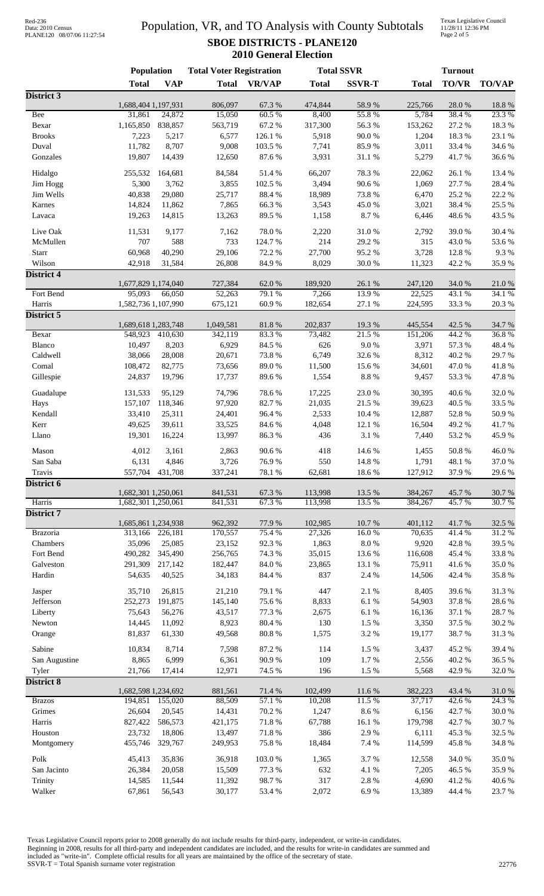## Red-236<br>Data: 2010 Census PLANE120 08/07/06 11:27:54

# Population, VR, and TO Analysis with County Subtotals **SBOE DISTRICTS - PLANE120 2010 General Election**

Texas Legislative Council 11/28/11 12:36 PM Page 2 of 5

|                         | Population          |                   | <b>Total Voter Registration</b> |                 | <b>Total SSVR</b> |                    |                   | <b>Turnout</b>   |                      |  |
|-------------------------|---------------------|-------------------|---------------------------------|-----------------|-------------------|--------------------|-------------------|------------------|----------------------|--|
|                         | <b>Total</b>        | <b>VAP</b>        | <b>Total</b>                    | <b>VR/VAP</b>   | <b>Total</b>      | <b>SSVR-T</b>      | <b>Total</b>      | <b>TO/VR</b>     | <b>TO/VAP</b>        |  |
| District 3              |                     |                   |                                 |                 |                   |                    |                   |                  |                      |  |
|                         | 1,688,404 1,197,931 |                   | 806,097                         | 67.3 %          | 474,844           | 58.9%              | 225,766           | 28.0%            | 18.8%                |  |
| Bee<br>Bexar            | 31,861<br>1,165,850 | 24,872<br>838,857 | 15,050<br>563,719               | 60.5%<br>67.2%  | 8,400<br>317,300  | 55.8%<br>56.3 %    | 5,784<br>153,262  | 38.4%<br>27.2 %  | 23.3 %<br>18.3 %     |  |
| <b>Brooks</b>           | 7,223               | 5,217             | 6,577                           | 126.1%          | 5,918             | 90.0%              | 1,204             | 18.3%            | 23.1 %               |  |
| Duval                   | 11,782              | 8,707             | 9,008                           | 103.5 %         | 7,741             | 85.9%              | 3,011             | 33.4 %           | 34.6%                |  |
| Gonzales                | 19,807              | 14,439            | 12,650                          | 87.6%           | 3,931             | $31.1\text{ }\%$   | 5,279             | 41.7%            | 36.6%                |  |
| Hidalgo                 | 255,532             | 164,681           | 84,584                          | 51.4%           | 66,207            | 78.3%              | 22,062            | 26.1%            | 13.4 %               |  |
| Jim Hogg                | 5,300               | 3,762             | 3,855                           | 102.5 %         | 3,494             | 90.6%              | 1,069             | 27.7 %           | 28.4 %               |  |
| Jim Wells               | 40,838              | 29,080            | 25,717                          | 88.4 %          | 18,989            | 73.8 %             | 6,470             | 25.2 %           | 22.2 %               |  |
| Karnes                  | 14,824              | 11,862            | 7,865                           | 66.3%           | 3,543             | 45.0%              | 3,021             | 38.4%            | 25.5 %               |  |
| Lavaca                  | 19,263              | 14,815            | 13,263                          | 89.5%           | 1,158             | 8.7%               | 6,446             | 48.6%            | 43.5 %               |  |
| Live Oak                | 11,531              | 9,177             | 7,162                           | 78.0%           | 2,220             | $31.0\ \%$         | 2,792             | 39.0%            | 30.4 %               |  |
| McMullen                | 707                 | 588               | 733                             | 124.7%          | 214               | 29.2%              | 315               | 43.0%            | 53.6%                |  |
| Starr                   | 60,968              | 40,290            | 29,106                          | 72.2 %          | 27,700            | 95.2%              | 3,728             | 12.8 %           | 9.3%                 |  |
| Wilson                  | 42,918              | 31,584            | 26,808                          | 84.9%           | 8,029             | 30.0%              | 11,323            | 42.2 %           | 35.9%                |  |
| District 4              |                     |                   |                                 |                 |                   |                    |                   |                  |                      |  |
|                         | 1,677,829 1,174,040 |                   | 727,384                         | 62.0%           | 189,920           | 26.1 %             | 247,120           | 34.0 %           | 21.0%                |  |
| Fort Bend               | 95,093              | 66,050            | 52,263                          | 79.1 %<br>60.9% | 7,266<br>182,654  | 13.9%              | 22,525            | 43.1 %<br>33.3%  | 34.1 %<br>$20.3~\%$  |  |
| Harris<br>District 5    | 1,582,736 1,107,990 |                   | 675,121                         |                 |                   | 27.1 %             | 224,595           |                  |                      |  |
|                         | 1,689,618 1,283,748 |                   | 1,049,581                       | 81.8%           | 202,837           | 19.3 %             | 445,554           | 42.5 %           | 34.7%                |  |
| Bexar                   | 548,923             | 410,630           | 342,119                         | 83.3%           | 73,482            | 21.5 %             | 151,206           | 44.2 %           | 36.8%                |  |
| Blanco                  | 10,497              | 8,203             | 6,929                           | 84.5 %          | 626               | $9.0\ \%$          | 3,971             | 57.3 %           | 48.4%                |  |
| Caldwell                | 38,066              | 28,008            | 20,671                          | 73.8%           | 6,749             | 32.6%              | 8,312             | 40.2 %           | 29.7%                |  |
| Comal                   | 108,472             | 82,775            | 73,656                          | 89.0%           | 11,500            | 15.6%              | 34,601            | 47.0%            | 41.8%                |  |
| Gillespie               | 24,837              | 19,796            | 17,737                          | 89.6%           | 1,554             | $8.8\ \%$          | 9,457             | 53.3%            | 47.8 %               |  |
| Guadalupe               | 131,533             | 95,129            | 74,796                          | 78.6%           | 17,225            | 23.0%              | 30,395            | 40.6%            | 32.0%                |  |
| Hays                    | 157,107             | 118,346           | 97,920                          | 82.7%           | 21,035            | 21.5 %             | 39,623            | 40.5 %           | 33.5 %               |  |
| Kendall                 | 33,410              | 25,311            | 24,401                          | 96.4%           | 2,533             | 10.4 %             | 12,887            | 52.8%            | 50.9%                |  |
| Kerr                    | 49,625              | 39,611            | 33,525                          | 84.6%           | 4,048             | 12.1 %             | 16,504            | 49.2%            | 41.7%                |  |
| Llano                   | 19,301              | 16,224            | 13,997                          | 86.3%           | 436               | 3.1%               | 7,440             | 53.2 %           | 45.9%                |  |
| Mason                   | 4,012               | 3,161             | 2,863                           | 90.6%           | 418               | 14.6 %             | 1,455             | 50.8%            | 46.0%                |  |
| San Saba                | 6,131               | 4,846             | 3,726                           | 76.9 %          | 550               | 14.8 %             | 1,791             | 48.1 %           | 37.0 %               |  |
| Travis                  | 557,704             | 431,708           | 337,241                         | 78.1 %          | 62,681            | 18.6%              | 127,912           | 37.9%            | 29.6%                |  |
| District 6              | 1,682,301 1,250,061 |                   | 841,531                         | 67.3 %          | 113,998           | 13.5 %             | 384,267           | 45.7%            | $30.7~\%$            |  |
| Harris                  | 1,682,301 1,250,061 |                   | 841,531                         | 67.3 %          | 113,998           | 13.5 %             | 384,267           | 45.7%            | 30.7%                |  |
| District 7              |                     |                   |                                 |                 |                   |                    |                   |                  |                      |  |
|                         | 1,685,861 1,234,938 |                   | 962,392                         | 77.9%           | 102,985           | 10.7%              | 401,112           | 41.7%            | 32.5 %               |  |
| <b>Brazoria</b>         | 313,166             | 226,181           | 170,557                         | 75.4 %          | 27,326            | 16.0%              | 70,635            | 41.4%            | 31.2%                |  |
| Chambers<br>Fort Bend   | 35,096<br>490,282   | 25,085<br>345,490 | 23,152<br>256,765               | 92.3%<br>74.3 % | 1,863<br>35,015   | $8.0\ \%$<br>13.6% | 9,920             | 42.8%<br>45.4 %  | 39.5 %<br>33.8 %     |  |
| Galveston               | 291,309             | 217,142           | 182,447                         | $84.0\;\%$      | 23,865            | 13.1 %             | 116,608<br>75,911 | 41.6%            | 35.0%                |  |
| Hardin                  | 54,635              | 40,525            | 34,183                          | 84.4 %          | 837               | 2.4 %              | 14,506            | 42.4 %           | 35.8 %               |  |
|                         |                     |                   |                                 |                 |                   |                    |                   |                  |                      |  |
| Jasper                  | 35,710              | 26,815<br>191,875 | 21,210<br>145,140               | 79.1 %<br>75.6% | 447<br>8,833      | 2.1 %<br>6.1%      | 8,405<br>54,903   | 39.6%<br>37.8 %  | 31.3 %<br>28.6 %     |  |
| Jefferson<br>Liberty    | 252,273<br>75,643   | 56,276            | 43,517                          | 77.3 %          | 2,675             | 6.1%               | 16,136            | 37.1 %           | 28.7 %               |  |
| Newton                  | 14,445              | 11,092            | 8,923                           | 80.4 %          | 130               | 1.5 %              | 3,350             | 37.5 %           | 30.2 %               |  |
| Orange                  | 81,837              | 61,330            | 49,568                          | 80.8%           | 1,575             | 3.2 %              | 19,177            | 38.7%            | 31.3%                |  |
|                         |                     |                   |                                 |                 |                   |                    |                   |                  |                      |  |
| Sabine<br>San Augustine | 10,834<br>8,865     | 8,714<br>6,999    | 7,598<br>6,361                  | 87.2 %<br>90.9% | 114<br>109        | 1.5 %<br>1.7%      | 3,437<br>2,556    | 45.2%<br>40.2%   | 39.4 %<br>36.5 %     |  |
| Tyler                   | 21,766              | 17,414            | 12,971                          | 74.5 %          | 196               | $1.5\ \%$          | 5,568             | 42.9%            | 32.0%                |  |
| <b>District 8</b>       |                     |                   |                                 |                 |                   |                    |                   |                  |                      |  |
|                         | 1,682,598 1,234,692 |                   | 881,561                         | 71.4 %          | 102,499           | 11.6 %             | 382,223           | 43.4 %           | 31.0%                |  |
| <b>Brazos</b>           | 194,851             | 155,020           | 88,509                          | 57.1 %          | 10,208            | 11.5 %             | 37,717            | 42.6%            | 24.3 %               |  |
| Grimes                  | 26,604              | 20,545            | 14,431                          | 70.2 %          | 1,247             | $8.6\;\%$          | 6,156             | 42.7%            | $30.0\;\%$           |  |
| Harris                  | 827,422             | 586,573           | 421,175                         | 71.8 %          | 67,788<br>386     | $16.1~\%$          | 179,798           | 42.7%            | 30.7%                |  |
| Houston<br>Montgomery   | 23,732<br>455,746   | 18,806<br>329,767 | 13,497<br>249,953               | 71.8%<br>75.8%  | 18,484            | 2.9%<br>7.4 %      | 6,111<br>114,599  | 45.3 %<br>45.8 % | 32.5 %<br>$34.8\ \%$ |  |
|                         |                     |                   |                                 |                 |                   |                    |                   |                  |                      |  |
| Polk                    | 45,413              | 35,836            | 36,918                          | 103.0%          | 1,365             | 3.7%               | 12,558            | 34.0 %           | 35.0%                |  |
| San Jacinto<br>Trinity  | 26,384              | 20,058<br>11,544  | 15,509                          | 77.3 %<br>98.7% | 632<br>317        | 4.1 %<br>$2.8\ \%$ | 7,205             | 46.5 %<br>41.2%  | 35.9%<br>40.6 %      |  |
| Walker                  | 14,585<br>67,861    | 56,543            | 11,392<br>30,177                | 53.4 %          | 2,072             | 6.9%               | 4,690<br>13,389   | 44.4 %           | 23.7%                |  |
|                         |                     |                   |                                 |                 |                   |                    |                   |                  |                      |  |

Texas Legislative Council reports prior to 2008 generally do not include results for third-party, independent, or write-in candidates. Beginning in 2008, results for all third-party and independent candidates are included, and the results for write-in candidates are summed and included as "write-in". Complete official results for all years are maintained by the office of the secretary of state. SSVR-T = Total Spanish surname voter registration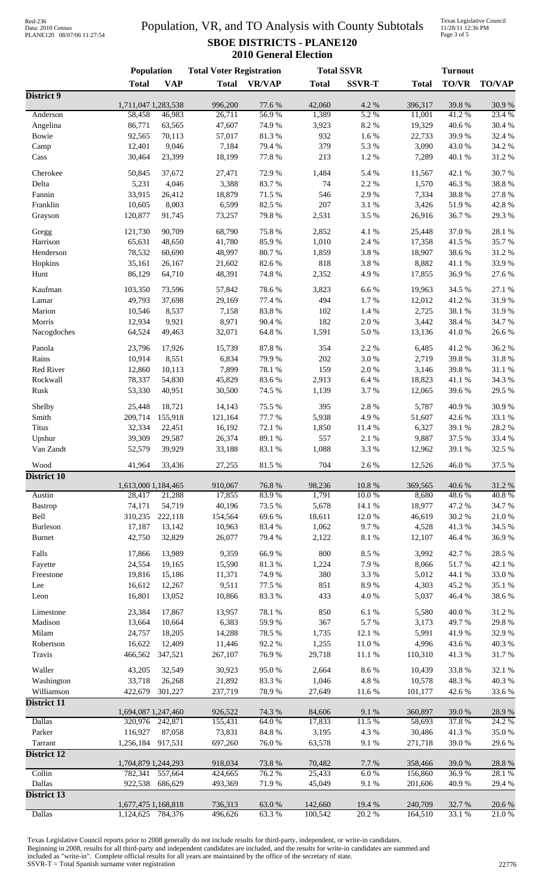## Red-236<br>Data: 2010 Census PLANE120 08/07/06 11:27:54

# Population, VR, and TO Analysis with County Subtotals **SBOE DISTRICTS - PLANE120 2010 General Election**

Texas Legislative Council 11/28/11 12:36 PM Page 3 of 5

|                    | Population                    |                   | <b>Total Voter Registration</b> |                 |                 | <b>Total SSVR</b> | <b>Turnout</b>    |                 |                 |
|--------------------|-------------------------------|-------------------|---------------------------------|-----------------|-----------------|-------------------|-------------------|-----------------|-----------------|
|                    | <b>Total</b>                  | <b>VAP</b>        | <b>Total</b>                    | <b>VR/VAP</b>   | <b>Total</b>    | <b>SSVR-T</b>     | <b>Total</b>      | TO/VR           | <b>TO/VAP</b>   |
| District 9         |                               |                   |                                 |                 |                 |                   |                   |                 |                 |
| Anderson           | 1,711,047 1,283,538<br>58,458 | 46,983            | 996,200<br>26,711               | 77.6 %<br>56.9% | 42,060<br>1,389 | 4.2 %<br>5.2 %    | 396,317<br>11,001 | 39.8%<br>41.2%  | 30.9%<br>23.4 % |
| Angelina           | 86,771                        | 63,565            | 47,607                          | 74.9%           | 3,923           | 8.2 %             | 19,329            | 40.6%           | 30.4 %          |
| Bowie              | 92,565                        | 70,113            | 57,017                          | 81.3 %          | 932             | 1.6 %             | 22,733            | 39.9%           | 32.4 %          |
| Camp               | 12,401                        | 9,046             | 7,184                           | 79.4 %          | 379             | 5.3 %             | 3,090             | 43.0%           | 34.2 %          |
| Cass               | 30,464                        | 23,399            | 18,199                          | 77.8 %          | 213             | 1.2%              | 7,289             | 40.1 %          | 31.2%           |
|                    |                               |                   |                                 |                 |                 |                   |                   |                 |                 |
| Cherokee           | 50,845<br>5,231               | 37,672<br>4,046   | 27,471<br>3,388                 | 72.9%<br>83.7%  | 1,484<br>74     | 5.4 %<br>2.2 %    | 11,567<br>1,570   | 42.1 %<br>46.3% | 30.7%<br>38.8%  |
| Delta<br>Fannin    | 33,915                        | 26,412            | 18,879                          | 71.5 %          | 546             | 2.9%              | 7,334             | 38.8%           | 27.8 %          |
| Franklin           | 10,605                        | 8,003             | 6,599                           | 82.5 %          | $207\,$         | 3.1 %             | 3,426             | 51.9%           | 42.8%           |
| Grayson            | 120,877                       | 91,745            | 73,257                          | 79.8%           | 2,531           | 3.5%              | 26,916            | 36.7%           | 29.3 %          |
|                    |                               |                   |                                 |                 |                 |                   |                   |                 |                 |
| Gregg              | 121,730                       | 90,709            | 68,790                          | 75.8%           | 2,852           | 4.1 %             | 25,448            | 37.0%           | 28.1 %          |
| Harrison           | 65,631                        | 48,650            | 41,780                          | 85.9%           | 1,010           | 2.4 %             | 17,358            | 41.5 %          | 35.7%           |
| Henderson          | 78,532                        | 60,690            | 48,997                          | 80.7%           | 1,859           | 3.8 %             | 18,907            | 38.6%           | 31.2%           |
| Hopkins<br>Hunt    | 35,161<br>86,129              | 26,167<br>64,710  | 21,602<br>48,391                | 82.6%<br>74.8 % | 818<br>2,352    | 3.8 %<br>4.9%     | 8,882<br>17,855   | 41.1%<br>36.9%  | 33.9%<br>27.6 % |
|                    |                               |                   |                                 |                 |                 |                   |                   |                 |                 |
| Kaufman            | 103,350                       | 73,596            | 57,842                          | 78.6%           | 3,823           | 6.6%              | 19,963            | 34.5 %          | 27.1 %          |
| Lamar              | 49,793                        | 37,698            | 29,169                          | 77.4 %          | 494             | 1.7%              | 12,012            | 41.2%           | 31.9%           |
| Marion             | 10,546                        | 8,537             | 7,158                           | 83.8%           | 102             | 1.4 %             | 2,725             | 38.1 %          | 31.9%           |
| Morris             | 12,934                        | 9,921             | 8,971                           | 90.4 %          | 182             | $2.0\ \%$         | 3,442             | 38.4%           | 34.7%           |
| Nacogdoches        | 64,524                        | 49,463            | 32,071                          | 64.8 %          | 1,591           | $5.0\ \%$         | 13,136            | $41.0\ \%$      | 26.6%           |
| Panola             | 23,796                        | 17,926            | 15,739                          | 87.8 %          | 354             | 2.2 %             | 6,485             | 41.2%           | 36.2%           |
| Rains              | 10,914                        | 8,551             | 6,834                           | 79.9%           | 202             | 3.0%              | 2,719             | 39.8%           | 31.8 %          |
| Red River          | 12,860                        | 10,113            | 7,899                           | 78.1 %          | 159             | 2.0%              | 3,146             | 39.8%           | 31.1 %          |
| Rockwall           | 78,337                        | 54,830            | 45,829                          | 83.6%           | 2,913           | 6.4%              | 18,823            | 41.1%           | 34.3 %          |
| Rusk               | 53,330                        | 40,951            | 30,500                          | 74.5 %          | 1,139           | 3.7%              | 12,065            | 39.6%           | 29.5 %          |
| Shelby             | 25,448                        | 18,721            | 14,143                          | 75.5 %          | 395             | 2.8 %             | 5,787             | 40.9%           | 30.9%           |
| Smith              | 209,714                       | 155,918           | 121,164                         | 77.7 %          | 5,938           | 4.9%              | 51,607            | 42.6%           | 33.1 %          |
| Titus              | 32,334                        | 22,451            | 16,192                          | 72.1 %          | 1,850           | 11.4 %            | 6,327             | 39.1 %          | 28.2%           |
| Upshur             | 39,309                        | 29,587            | 26,374                          | 89.1 %          | 557             | 2.1 %             | 9,887             | 37.5 %          | 33.4 %          |
| Van Zandt          | 52,579                        | 39,929            | 33,188                          | 83.1%           | 1,088           | 3.3 %             | 12,962            | 39.1 %          | 32.5 %          |
|                    |                               |                   |                                 |                 |                 |                   |                   |                 |                 |
| Wood               | 41,964                        | 33,436            | 27,255                          | 81.5%           | 704             | 2.6 %             | 12,526            | 46.0%           | 37.5 %          |
| <b>District 10</b> | 1,613,000 1,184,465           |                   | 910,067                         | 76.8%           | 98,236          | $10.8~\%$         | 369,565           | 40.6%           | 31.2%           |
| Austin             | 28,417                        | 21,288            | 17,855                          | 83.9%           | 1,791           | 10.0%             | 8,680             | 48.6%           | 40.8%           |
| Bastrop            | 74,171                        | 54,719            | 40,196                          | 73.5 %          | 5,678           | 14.1 %            | 18,977            | 47.2 %          | 34.7%           |
| Bell               | 310,235                       | 222,118           | 154,564                         | 69.6%           | 18,611          | 12.0%             | 46,619            | 30.2 %          | 21.0%           |
| Burleson           | 17,187                        | 13,142            | 10,963                          | 83.4%           | 1,062           | 9.7%              | 4,528             | 41.3%           | 34.5 %          |
| <b>Burnet</b>      | 42,750                        | 32,829            | 26,077                          | 79.4 %          | 2,122           | 8.1 %             | 12,107            | 46.4 %          | 36.9%           |
| Falls              | 17,866                        | 13,989            | 9,359                           | 66.9%           | 800             | 8.5%              | 3,992             | 42.7%           | 28.5 %          |
| Fayette            | 24,554                        | 19,165            | 15,590                          | 81.3 %          | 1,224           | 7.9%              | 8,066             | 51.7%           | 42.1 %          |
| Freestone          | 19,816                        | 15,186            | 11,371                          | 74.9%           | 380             | 3.3 %             | 5,012             | 44.1 %          | 33.0%           |
| Lee                | 16,612                        | 12,267            | 9,511                           | 77.5 %          | 851             | 8.9%              | 4,303             | 45.2%           | 35.1 %          |
| Leon               | 16,801                        | 13,052            | 10,866                          | 83.3%           | 433             | 4.0%              | 5,037             | 46.4 %          | 38.6%           |
|                    |                               |                   |                                 |                 |                 |                   |                   |                 |                 |
| Limestone          | 23,384                        | 17,867            | 13,957                          | 78.1 %          | 850             | 6.1%              | 5,580             | 40.0%           | 31.2%           |
| Madison            | 13,664                        | 10,664            | 6,383                           | 59.9%           | 367             | 5.7%              | 3,173             | 49.7%           | 29.8%           |
| Milam              | 24,757                        | 18,205            | 14,288                          | 78.5 %          | 1,735           | 12.1 %            | 5,991             | 41.9%           | 32.9%           |
| Robertson          | 16,622                        | 12,409            | 11,446                          | 92.2%           | 1,255           | 11.0%             | 4,996             | 43.6 %          | 40.3 %          |
| Travis             | 466,562                       | 347,521           | 267,107                         | 76.9%           | 29,718          | 11.1 %            | 110,310           | 41.3%           | 31.7%           |
| Waller             | 43,205                        | 32,549            | 30,923                          | 95.0%           | 2,664           | 8.6%              | 10,439            | 33.8%           | 32.1 %          |
| Washington         | 33,718                        | 26,268            | 21,892                          | 83.3%           | 1,046           | 4.8 %             | 10,578            | 48.3%           | 40.3 %          |
| Williamson         | 422,679                       | 301,227           | 237,719                         | 78.9%           | 27,649          | 11.6 %            | 101,177           | 42.6 %          | 33.6%           |
| District 11        |                               |                   |                                 |                 |                 |                   |                   |                 |                 |
| <b>Dallas</b>      | 1,694,087 1,247,460           |                   | 926,522                         | 74.3 %<br>64.0% | 84,606          | 9.1%<br>11.5 %    | 360,897           | 39.0%<br>37.8%  | 28.9%           |
|                    |                               | 320,976 242,871   | 155,431                         |                 | 17,833          |                   | 58,693            |                 | 24.2 %          |
| Parker<br>Tarrant  | 116,927<br>1,256,184          | 87,058<br>917,531 | 73,831<br>697,260               | 84.8 %<br>76.0% | 3,195<br>63,578 | 4.3 %<br>9.1%     | 30,486<br>271,718 | 41.3%<br>39.0%  | 35.0 %<br>29.6% |
| <b>District 12</b> |                               |                   |                                 |                 |                 |                   |                   |                 |                 |
|                    | 1,704,879 1,244,293           |                   | 918,034                         | 73.8%           | 70,482          | 7.7 %             | 358,466           | 39.0%           | 28.8 %          |
| Collin             | 782,341                       | 557,664           | 424,665                         | 76.2 %          | 25,433          | 6.0%              | 156,860           | 36.9%           | 28.1 %          |
| Dallas             | 922,538                       | 686,629           | 493,369                         | 71.9%           | 45,049          | 9.1%              | 201,606           | 40.9%           | 29.4%           |
| District 13        |                               |                   |                                 |                 |                 |                   |                   |                 |                 |
|                    | 1,677,475 1,168,818           |                   | 736,313                         | 63.0%           | 142,660         | 19.4 %            | 240,709           | 32.7 %          | 20.6 %          |
| <b>Dallas</b>      | 1,124,625                     | 784,376           | 496,626                         | 63.3%           | 100,542         | 20.2 %            | 164,510           | 33.1 %          | 21.0%           |

Texas Legislative Council reports prior to 2008 generally do not include results for third-party, independent, or write-in candidates. Beginning in 2008, results for all third-party and independent candidates are included, and the results for write-in candidates are summed and included as "write-in". Complete official results for all years are maintained by the office of the secretary of state. SSVR-T = Total Spanish surname voter registration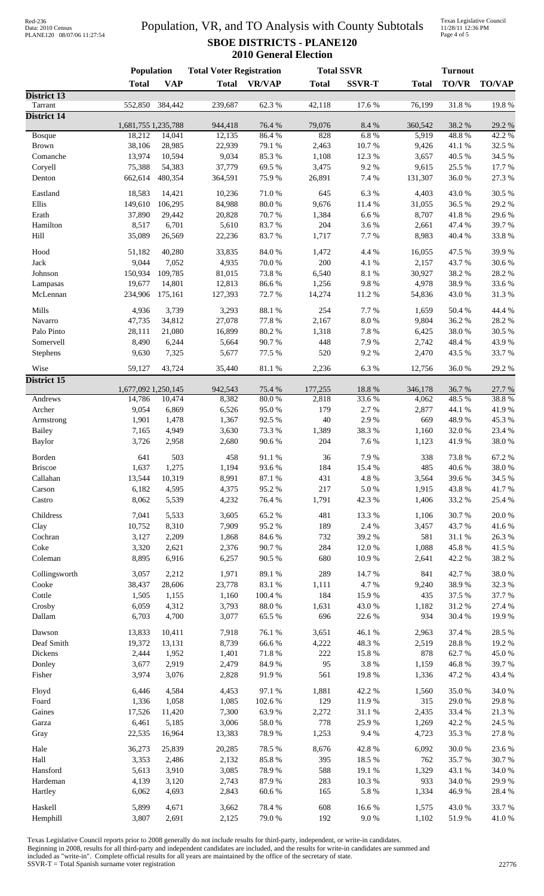# Red-236<br>Data: 2010 Census PLANE120 08/07/06 11:27:54

# Population, VR, and TO Analysis with County Subtotals **SBOE DISTRICTS - PLANE120 2010 General Election**

Texas Legislative Council 11/28/11 12:36 PM Page 4 of 5

|                               | Population          |                | <b>Total Voter Registration</b> |                |              | <b>Total SSVR</b> | <b>Turnout</b>     |                |                |
|-------------------------------|---------------------|----------------|---------------------------------|----------------|--------------|-------------------|--------------------|----------------|----------------|
|                               | <b>Total</b>        | <b>VAP</b>     | <b>Total</b>                    | <b>VR/VAP</b>  | <b>Total</b> | <b>SSVR-T</b>     | <b>Total</b>       | TO/VR          | <b>TO/VAP</b>  |
| <b>District 13</b>            |                     |                |                                 |                |              |                   |                    |                |                |
| Tarrant<br><b>District 14</b> | 552,850             | 384,442        | 239,687                         | 62.3%          | 42,118       | 17.6%             | 76,199             | 31.8%          | 19.8%          |
|                               | 1,681,755 1,235,788 |                | 944,418                         | 76.4 %         | 79,076       | 8.4 %             | 360,542            | 38.2%          | 29.2 %         |
| <b>Bosque</b>                 | 18,212              | 14,041         | 12,135                          | 86.4%          | 828          | 6.8%              | $\overline{5,919}$ | 48.8%          | 42.2 %         |
| <b>Brown</b>                  | 38,106              | 28,985         | 22,939                          | 79.1 %         | 2,463        | 10.7%             | 9,426              | 41.1%          | 32.5 %         |
| Comanche                      | 13,974              | 10,594         | 9,034                           | 85.3%          | 1,108        | 12.3 %            | 3,657              | 40.5 %         | 34.5 %         |
| Coryell                       | 75,388              | 54,383         | 37,779                          | 69.5%          | 3,475        | 9.2%              | 9,615              | 25.5 %         | 17.7 %         |
| Denton                        | 662,614             | 480,354        | 364,591                         | 75.9%          | 26,891       | 7.4 %             | 131,307            | 36.0%          | 27.3 %         |
| Eastland                      | 18,583              | 14,421         | 10,236                          | 71.0%          | 645          | 6.3%              | 4,403              | 43.0%          | 30.5 %         |
| Ellis                         | 149,610             | 106,295        | 84,988                          | $80.0\;\%$     | 9,676        | 11.4 %            | 31,055             | 36.5 %         | 29.2 %         |
| Erath                         | 37,890              | 29,442         | 20,828                          | 70.7%          | 1,384        | 6.6%              | 8,707              | 41.8%          | 29.6%          |
| Hamilton                      | 8,517               | 6,701          | 5,610                           | 83.7%          | 204          | 3.6%              | 2,661              | 47.4 %         | 39.7%          |
| Hill                          | 35,089              | 26,569         | 22,236                          | 83.7%          | 1,717        | 7.7 %             | 8,983              | 40.4 %         | 33.8%          |
| Hood                          | 51,182              | 40,280         | 33,835                          | 84.0%          | 1,472        | 4.4 %             | 16,055             | 47.5 %         | 39.9%          |
| Jack                          | 9,044               | 7,052          | 4,935                           | 70.0%          | 200          | 4.1 %             | 2,157              | 43.7%          | 30.6%          |
| Johnson                       | 150,934             | 109,785        | 81,015                          | 73.8%          | 6,540        | 8.1%              | 30,927             | 38.2 %         | 28.2%          |
| Lampasas                      | 19,677              | 14,801         | 12,813                          | 86.6%          | 1,256        | 9.8%              | 4,978              | 38.9%          | 33.6%          |
| McLennan                      | 234,906             | 175,161        | 127,393                         | 72.7%          | 14,274       | 11.2%             | 54,836             | 43.0 %         | 31.3%          |
| Mills                         | 4,936               | 3,739          | 3,293                           | 88.1 %         | 254          | 7.7 %             | 1,659              | 50.4 %         | 44.4 %         |
| Navarro                       | 47,735              | 34,812         | 27,078                          | 77.8 %         | 2,167        | 8.0%              | 9,804              | 36.2%          | 28.2%          |
| Palo Pinto                    | 28,111              | 21,080         | 16,899                          | 80.2 %         | 1,318        | 7.8 %             | 6,425              | 38.0%          | 30.5 %         |
| Somervell                     | 8,490               | 6,244          | 5,664                           | 90.7%          | 448          | 7.9%              | 2,742              | 48.4%          | 43.9%          |
| Stephens                      | 9,630               | 7,325          | 5,677                           | 77.5 %         | 520          | 9.2%              | 2,470              | 43.5 %         | 33.7%          |
| Wise                          | 59,127              | 43,724         | 35,440                          | 81.1%          | 2,236        | 6.3%              | 12,756             | 36.0%          | 29.2 %         |
| <b>District 15</b>            |                     |                |                                 |                |              |                   |                    |                |                |
|                               | 1,677,092 1,250,145 |                | 942,543                         | 75.4 %         | 177,255      | 18.8%             | 346,178            | 36.7%          | 27.7 %         |
| Andrews                       | 14,786              | 10,474         | 8,382                           | 80.0%          | 2,818        | 33.6%             | 4,062              | 48.5 %         | 38.8%          |
| Archer                        | 9,054               | 6,869          | 6,526                           | 95.0%          | 179          | 2.7%              | 2,877              | 44.1 %         | 41.9%          |
| Armstrong                     | 1,901               | 1,478          | 1,367                           | 92.5 %         | $40\,$       | 2.9%              | 669                | 48.9%          | 45.3%          |
| <b>Bailey</b>                 | 7,165               | 4,949          | 3,630                           | 73.3 %         | 1,389        | 38.3%             | 1,160              | 32.0%          | 23.4 %         |
| <b>Baylor</b>                 | 3,726               | 2,958          | 2,680                           | 90.6%          | 204          | 7.6%              | 1,123              | 41.9%          | 38.0%          |
| Borden                        | 641                 | 503            | 458                             | 91.1%          | 36           | 7.9%              | 338                | 73.8%          | 67.2%          |
| <b>Briscoe</b>                | 1,637               | 1,275          | 1,194                           | 93.6%          | 184          | 15.4 %            | 485                | 40.6%          | 38.0%          |
| Callahan                      | 13,544              | 10,319         | 8,991                           | 87.1 %         | 431          | $4.8~\%$          | 3,564              | 39.6%          | 34.5 %         |
| Carson                        | 6,182               | 4,595          | 4,375                           | 95.2%          | 217          | $5.0\ \%$         | 1,915              | 43.8%          | 41.7%          |
| Castro                        | 8,062               | 5,539          | 4,232                           | 76.4 %         | 1,791        | 42.3 %            | 1,406              | 33.2%          | 25.4 %         |
| Childress                     | 7,041               | 5,533          | 3,605                           | 65.2%          | 481          | 13.3 %            | 1,106              | 30.7%          | 20.0%          |
| Clay                          | 10,752              | 8,310          | 7,909                           | 95.2%          | 189          | 2.4 %             | 3,457              | 43.7 %         | 41.6%          |
| Cochran                       | 3,127               | 2,209          | 1,868                           | 84.6%          | 732          | 39.2 %            | 581                | 31.1 %         | 26.3%          |
| Coke                          | 3,320               | 2,621          | 2,376                           | 90.7%          | 284          | 12.0 %            | 1,088              | 45.8%          | 41.5%          |
| Coleman                       | 8,895               | 6,916          | 6,257                           | 90.5 %         | 680          | 10.9%             | 2,641              | 42.2%          | 38.2%          |
| Collingsworth                 | 3,057               | 2,212          | 1,971                           | 89.1 %         | 289          | 14.7%             | 841                | 42.7%          | 38.0%          |
| Cooke                         | 38,437              | 28,606         | 23,778                          | 83.1 %         | 1,111        | 4.7%              | 9,240              | 38.9%          | 32.3 %         |
| Cottle                        | 1,505               | 1,155          | 1,160                           | 100.4 %        | 184          | 15.9%             | 435                | 37.5 %         | 37.7 %         |
| Crosby                        | 6,059               | 4,312          | 3,793                           | $88.0\ \%$     | 1,631        | 43.0%             | 1,182              | 31.2%          | 27.4 %         |
| Dallam                        | 6,703               | 4,700          | 3,077                           | 65.5 %         | 696          | 22.6 %            | 934                | 30.4 %         | 19.9%          |
|                               |                     |                |                                 |                |              |                   |                    |                |                |
| Dawson                        | 13,833              | 10,411         | 7,918                           | 76.1 %         | 3,651        | 46.1 %            | 2,963              | 37.4 %         | 28.5 %         |
| Deaf Smith                    | 19,372              | 13,131         | 8,739                           | 66.6%<br>71.8% | 4,222<br>222 | 48.3%<br>15.8 %   | 2,519<br>878       | 28.8 %         | 19.2%<br>45.0% |
| Dickens<br>Donley             | 2,444<br>3,677      | 1,952<br>2,919 | 1,401<br>2,479                  | 84.9%          | 95           | 3.8 %             | 1,159              | 62.7%<br>46.8% | 39.7%          |
| Fisher                        | 3,974               | 3,076          | 2,828                           | 91.9%          | 561          | 19.8%             | 1,336              | 47.2%          | 43.4 %         |
|                               |                     |                |                                 |                |              |                   |                    |                |                |
| Floyd                         | 6,446               | 4,584          | 4,453                           | 97.1 %         | 1,881        | 42.2 %            | 1,560              | 35.0%          | 34.0%          |
| Foard                         | 1,336               | 1,058          | 1,085                           | 102.6 %        | 129          | 11.9%             | 315                | 29.0%          | 29.8%          |
| Gaines                        | 17,526              | 11,420         | 7,300                           | 63.9%          | 2,272        | $31.1\ \%$        | 2,435              | 33.4 %         | 21.3%          |
| Garza                         | 6,461               | 5,185          | 3,006                           | $58.0\;\%$     | 778          | 25.9%             | 1,269              | 42.2%          | 24.5 %         |
| Gray                          | 22,535              | 16,964         | 13,383                          | 78.9%          | 1,253        | 9.4%              | 4,723              | 35.3 %         | 27.8 %         |
| Hale                          | 36,273              | 25,839         | 20,285                          | 78.5 %         | 8,676        | 42.8%             | 6,092              | 30.0%          | 23.6%          |
| Hall                          | 3,353               | 2,486          | 2,132                           | 85.8 %         | 395          | 18.5 %            | 762                | 35.7%          | 30.7%          |
| Hansford                      | 5,613               | 3,910          | 3,085                           | 78.9%          | 588          | 19.1 %            | 1,329              | 43.1 %         | 34.0%          |
| Hardeman                      | 4,139               | 3,120          | 2,743                           | 87.9%          | 283          | 10.3%             | 933                | 34.0%          | 29.9%          |
| Hartley                       | 6,062               | 4,693          | 2,843                           | 60.6%          | 165          | 5.8 %             | 1,334              | 46.9%          | 28.4 %         |
| Haskell                       | 5,899               | 4,671          | 3,662                           | 78.4%          | 608          | 16.6%             | 1,575              | 43.0 %         | 33.7%          |
| Hemphill                      | 3,807               | 2,691          | 2,125                           | 79.0%          | 192          | $9.0\ \%$         | 1,102              | 51.9%          | 41.0%          |

Texas Legislative Council reports prior to 2008 generally do not include results for third-party, independent, or write-in candidates. Beginning in 2008, results for all third-party and independent candidates are included, and the results for write-in candidates are summed and included as "write-in". Complete official results for all years are maintained by the office of the secretary of state. SSVR-T = Total Spanish surname voter registration